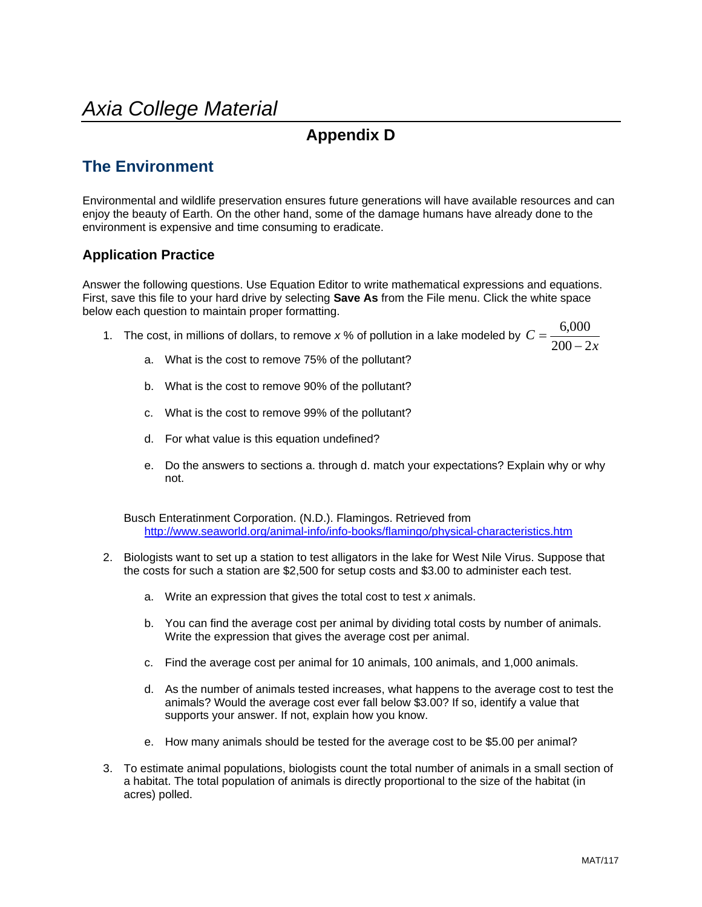## *Axia College Material*

## **Appendix D**

## **The Environment**

Environmental and wildlife preservation ensures future generations will have available resources and can enjoy the beauty of Earth. On the other hand, some of the damage humans have already done to the environment is expensive and time consuming to eradicate.

## **Application Practice**

Answer the following questions. Use Equation Editor to write mathematical expressions and equations. First, save this file to your hard drive by selecting **Save As** from the File menu. Click the white space below each question to maintain proper formatting.

- 1. The cost, in millions of dollars, to remove x % of pollution in a lake modeled by  $C = \frac{3.000 \text{ m}}{200 2x}$ *C*  $200 - 2$  $=\frac{6,000}{200-2}$ 
	- a. What is the cost to remove 75% of the pollutant?
	- b. What is the cost to remove 90% of the pollutant?
	- c. What is the cost to remove 99% of the pollutant?
	- d. For what value is this equation undefined?
	- e. Do the answers to sections a. through d. match your expectations? Explain why or why not.

Busch Enteratinment Corporation. (N.D.). Flamingos. Retrieved from http://www.seaworld.org/animal-info/info-books/flamingo/physical-characteristics.htm

- 2. Biologists want to set up a station to test alligators in the lake for West Nile Virus. Suppose that the costs for such a station are \$2,500 for setup costs and \$3.00 to administer each test.
	- a. Write an expression that gives the total cost to test *x* animals.
	- b. You can find the average cost per animal by dividing total costs by number of animals. Write the expression that gives the average cost per animal.
	- c. Find the average cost per animal for 10 animals, 100 animals, and 1,000 animals.
	- d. As the number of animals tested increases, what happens to the average cost to test the animals? Would the average cost ever fall below \$3.00? If so, identify a value that supports your answer. If not, explain how you know.
	- e. How many animals should be tested for the average cost to be \$5.00 per animal?
- 3. To estimate animal populations, biologists count the total number of animals in a small section of a habitat. The total population of animals is directly proportional to the size of the habitat (in acres) polled.